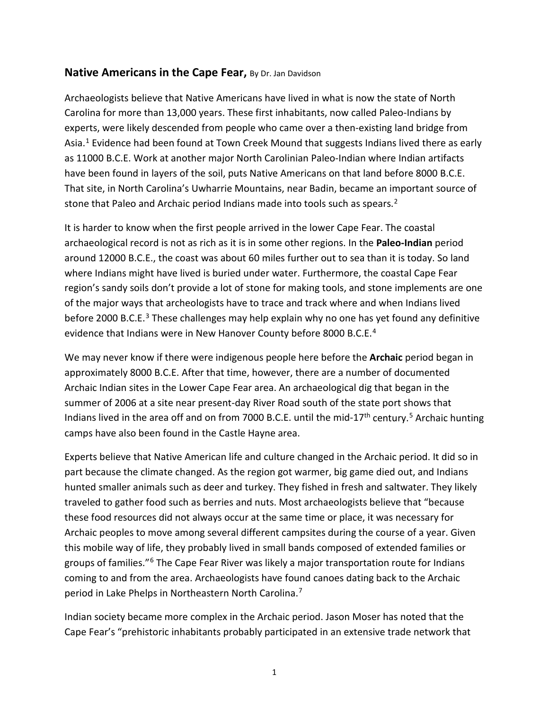## **Native Americans in the Cape Fear,** By Dr. Jan Davidson

Archaeologists believe that Native Americans have lived in what is now the state of North Carolina for more than 13,000 years. These first inhabitants, now called Paleo-Indians by experts, were likely descended from people who came over a then-existing land bridge from Asia.<sup>[1](#page-3-0)</sup> Evidence had been found at Town Creek Mound that suggests Indians lived there as early as 11000 B.C.E. Work at another major North Carolinian Paleo-Indian where Indian artifacts have been found in layers of the soil, puts Native Americans on that land before 8000 B.C.E. That site, in North Carolina's Uwharrie Mountains, near Badin, became an important source of stone that Paleo and Archaic period Indians made into tools such as spears.<sup>2</sup>

It is harder to know when the first people arrived in the lower Cape Fear. The coastal archaeological record is not as rich as it is in some other regions. In the **Paleo-Indian** period around 12000 B.C.E., the coast was about 60 miles further out to sea than it is today. So land where Indians might have lived is buried under water. Furthermore, the coastal Cape Fear region's sandy soils don't provide a lot of stone for making tools, and stone implements are one of the major ways that archeologists have to trace and track where and when Indians lived before 2000 B.C.E.<sup>[3](#page-3-2)</sup> These challenges may help explain why no one has yet found any definitive evidence that Indians were in New Hanover County before 8000 B.C.E.<sup>[4](#page-3-3)</sup>

We may never know if there were indigenous people here before the **Archaic** period began in approximately 8000 B.C.E. After that time, however, there are a number of documented Archaic Indian sites in the Lower Cape Fear area. An archaeological dig that began in the summer of 2006 at a site near present-day River Road south of the state port shows that Indians lived in the area off and on from 7000 B.C.E. until the mid-17<sup>th</sup> century.<sup>[5](#page-3-4)</sup> Archaic hunting camps have also been found in the Castle Hayne area.

Experts believe that Native American life and culture changed in the Archaic period. It did so in part because the climate changed. As the region got warmer, big game died out, and Indians hunted smaller animals such as deer and turkey. They fished in fresh and saltwater. They likely traveled to gather food such as berries and nuts. Most archaeologists believe that "because these food resources did not always occur at the same time or place, it was necessary for Archaic peoples to move among several different campsites during the course of a year. Given this mobile way of life, they probably lived in small bands composed of extended families or groups of families."[6](#page-3-5) The Cape Fear River was likely a major transportation route for Indians coming to and from the area. Archaeologists have found canoes dating back to the Archaic period in Lake Phelps in Northeastern North Carolina.[7](#page-3-6)

Indian society became more complex in the Archaic period. Jason Moser has noted that the Cape Fear's "prehistoric inhabitants probably participated in an extensive trade network that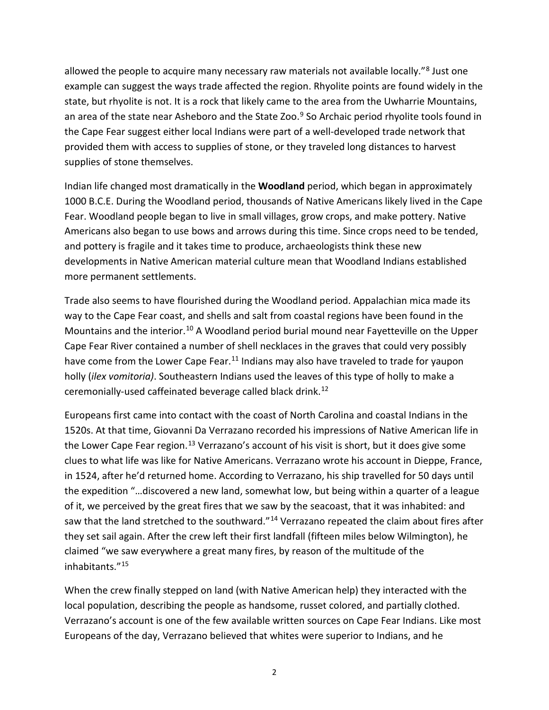allowed the people to acquire many necessary raw materials not available locally."<sup>[8](#page-3-7)</sup> Just one example can suggest the ways trade affected the region. Rhyolite points are found widely in the state, but rhyolite is not. It is a rock that likely came to the area from the Uwharrie Mountains, an area of the state near Asheboro and the State Zoo.<sup>[9](#page-3-8)</sup> So Archaic period rhyolite tools found in the Cape Fear suggest either local Indians were part of a well-developed trade network that provided them with access to supplies of stone, or they traveled long distances to harvest supplies of stone themselves.

Indian life changed most dramatically in the **Woodland** period, which began in approximately 1000 B.C.E. During the Woodland period, thousands of Native Americans likely lived in the Cape Fear. Woodland people began to live in small villages, grow crops, and make pottery. Native Americans also began to use bows and arrows during this time. Since crops need to be tended, and pottery is fragile and it takes time to produce, archaeologists think these new developments in Native American material culture mean that Woodland Indians established more permanent settlements.

Trade also seems to have flourished during the Woodland period. Appalachian mica made its way to the Cape Fear coast, and shells and salt from coastal regions have been found in the Mountains and the interior.<sup>[10](#page-3-9)</sup> A Woodland period burial mound near Fayetteville on the Upper Cape Fear River contained a number of shell necklaces in the graves that could very possibly have come from the Lower Cape Fear.<sup>[11](#page-3-10)</sup> Indians may also have traveled to trade for yaupon holly (*ilex vomitoria)*. Southeastern Indians used the leaves of this type of holly to make a ceremonially-used caffeinated beverage called black drink.[12](#page-3-11)

Europeans first came into contact with the coast of North Carolina and coastal Indians in the 1520s. At that time, Giovanni Da Verrazano recorded his impressions of Native American life in the Lower Cape Fear region.<sup>[13](#page-3-12)</sup> Verrazano's account of his visit is short, but it does give some clues to what life was like for Native Americans. Verrazano wrote his account in Dieppe, France, in 1524, after he'd returned home. According to Verrazano, his ship travelled for 50 days until the expedition "…discovered a new land, somewhat low, but being within a quarter of a league of it, we perceived by the great fires that we saw by the seacoast, that it was inhabited: and saw that the land stretched to the southward."<sup>[14](#page-3-13)</sup> Verrazano repeated the claim about fires after they set sail again. After the crew left their first landfall (fifteen miles below Wilmington), he claimed "we saw everywhere a great many fires, by reason of the multitude of the inhabitants.["15](#page-3-14)

When the crew finally stepped on land (with Native American help) they interacted with the local population, describing the people as handsome, russet colored, and partially clothed. Verrazano's account is one of the few available written sources on Cape Fear Indians. Like most Europeans of the day, Verrazano believed that whites were superior to Indians, and he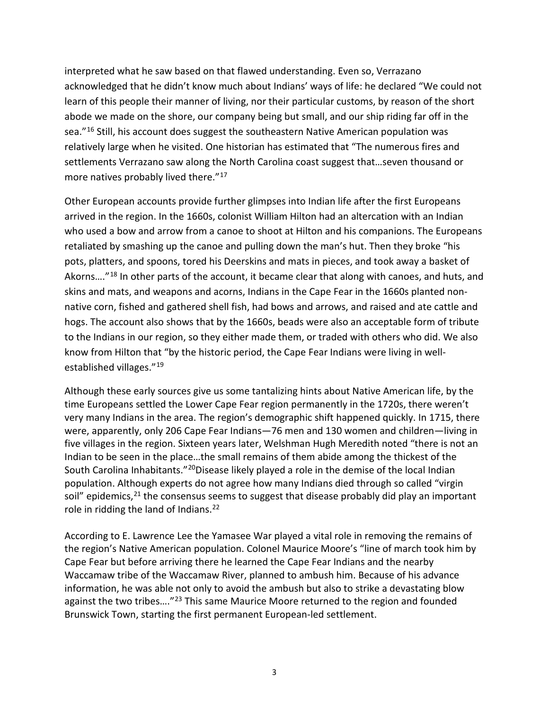interpreted what he saw based on that flawed understanding. Even so, Verrazano acknowledged that he didn't know much about Indians' ways of life: he declared "We could not learn of this people their manner of living, nor their particular customs, by reason of the short abode we made on the shore, our company being but small, and our ship riding far off in the sea."<sup>[16](#page-3-15)</sup> Still, his account does suggest the southeastern Native American population was relatively large when he visited. One historian has estimated that "The numerous fires and settlements Verrazano saw along the North Carolina coast suggest that…seven thousand or more natives probably lived there."<sup>17</sup>

Other European accounts provide further glimpses into Indian life after the first Europeans arrived in the region. In the 1660s, colonist William Hilton had an altercation with an Indian who used a bow and arrow from a canoe to shoot at Hilton and his companions. The Europeans retaliated by smashing up the canoe and pulling down the man's hut. Then they broke "his pots, platters, and spoons, tored his Deerskins and mats in pieces, and took away a basket of Akorns....<sup>"[18](#page-3-17)</sup> In other parts of the account, it became clear that along with canoes, and huts, and skins and mats, and weapons and acorns, Indians in the Cape Fear in the 1660s planted nonnative corn, fished and gathered shell fish, had bows and arrows, and raised and ate cattle and hogs. The account also shows that by the 1660s, beads were also an acceptable form of tribute to the Indians in our region, so they either made them, or traded with others who did. We also know from Hilton that "by the historic period, the Cape Fear Indians were living in well-established villages."<sup>[19](#page-3-18)</sup>

Although these early sources give us some tantalizing hints about Native American life, by the time Europeans settled the Lower Cape Fear region permanently in the 1720s, there weren't very many Indians in the area. The region's demographic shift happened quickly. In 1715, there were, apparently, only 206 Cape Fear Indians—76 men and 130 women and children—living in five villages in the region. Sixteen years later, Welshman Hugh Meredith noted "there is not an Indian to be seen in the place…the small remains of them abide among the thickest of the South Carolina Inhabitants."[20](#page-3-19)Disease likely played a role in the demise of the local Indian population. Although experts do not agree how many Indians died through so called "virgin soil" epidemics,  $21$  the consensus seems to suggest that disease probably did play an important role in ridding the land of Indians.<sup>[22](#page-3-21)</sup>

According to E. Lawrence Lee the Yamasee War played a vital role in removing the remains of the region's Native American population. Colonel Maurice Moore's "line of march took him by Cape Fear but before arriving there he learned the Cape Fear Indians and the nearby Waccamaw tribe of the Waccamaw River, planned to ambush him. Because of his advance information, he was able not only to avoid the ambush but also to strike a devastating blow against the two tribes....<sup>"[23](#page-3-22)</sup> This same Maurice Moore returned to the region and founded Brunswick Town, starting the first permanent European-led settlement.